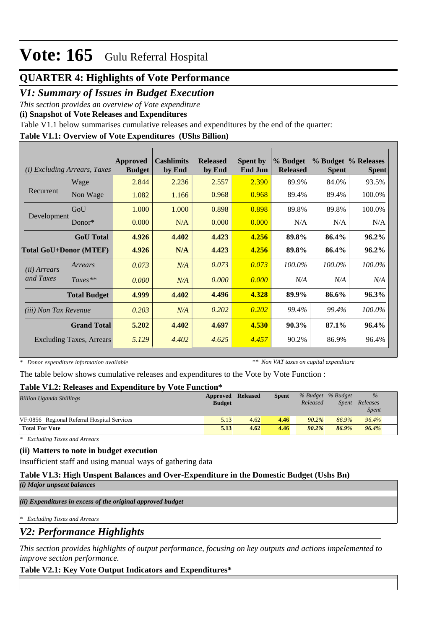## **QUARTER 4: Highlights of Vote Performance**

## *V1: Summary of Issues in Budget Execution*

*This section provides an overview of Vote expenditure* 

**(i) Snapshot of Vote Releases and Expenditures**

Table V1.1 below summarises cumulative releases and expenditures by the end of the quarter:

### **Table V1.1: Overview of Vote Expenditures (UShs Billion)**

| <b>Excluding Arrears, Taxes</b><br>(i) |                                 | Approved<br><b>Budget</b> | <b>Cashlimits</b><br>by End | <b>Released</b><br>by End | <b>Spent by</b><br><b>End Jun</b> | % Budget<br><b>Released</b> | <b>Spent</b> | % Budget % Releases<br><b>Spent</b> |
|----------------------------------------|---------------------------------|---------------------------|-----------------------------|---------------------------|-----------------------------------|-----------------------------|--------------|-------------------------------------|
|                                        | Wage                            | 2.844                     | 2.236                       | 2.557                     | 2.390                             | 89.9%                       | 84.0%        | 93.5%                               |
| Recurrent                              | Non Wage                        | 1.082                     | 1.166                       | 0.968                     | 0.968                             | 89.4%                       | 89.4%        | 100.0%                              |
|                                        | GoU                             | 1.000                     | 1.000                       | 0.898                     | 0.898                             | 89.8%                       | 89.8%        | 100.0%                              |
| Development                            | $Donor*$                        | 0.000                     | N/A                         | 0.000                     | 0.000                             | N/A                         | N/A          | N/A                                 |
|                                        | <b>GoU</b> Total                | 4.926                     | 4.402                       | 4.423                     | 4.256                             | 89.8%                       | 86.4%        | $96.2\%$                            |
|                                        | <b>Total GoU+Donor (MTEF)</b>   | 4.926                     | N/A                         | 4.423                     | 4.256                             | 89.8%                       | 86.4%        | $96.2\%$                            |
| ( <i>ii</i> ) Arrears                  | Arrears                         | 0.073                     | N/A                         | 0.073                     | 0.073                             | 100.0%                      | 100.0%       | 100.0%                              |
| and Taxes                              | $Taxes**$                       | 0.000                     | N/A                         | 0.000                     | 0.000                             | N/A                         | N/A          | N/A                                 |
|                                        | <b>Total Budget</b>             | 4.999                     | 4.402                       | 4.496                     | 4.328                             | 89.9%                       | 86.6%        | 96.3%                               |
| <i>(iii)</i> Non Tax Revenue           |                                 | 0.203                     | N/A                         | 0.202                     | 0.202                             | 99.4%                       | 99.4%        | 100.0%                              |
|                                        | <b>Grand Total</b>              | 5.202                     | 4.402                       | 4.697                     | 4.530                             | 90.3%                       | 87.1%        | 96.4%                               |
|                                        | <b>Excluding Taxes, Arrears</b> | 5.129                     | 4.402                       | 4.625                     | 4.457                             | 90.2%                       | 86.9%        | 96.4%                               |

*\* Donor expenditure information available*

*\*\* Non VAT taxes on capital expenditure*

The table below shows cumulative releases and expenditures to the Vote by Vote Function :

### **Table V1.2: Releases and Expenditure by Vote Function\***

| ---------------                             |               |                 |              |          |                   |              |  |
|---------------------------------------------|---------------|-----------------|--------------|----------|-------------------|--------------|--|
| <b>Billion Uganda Shillings</b>             | Approved      | <b>Released</b> | <b>Spent</b> |          | % Budget % Budget | $\%$         |  |
|                                             | <b>Budget</b> |                 |              | Released | Spent             | Releases     |  |
|                                             |               |                 |              |          |                   | <i>Spent</i> |  |
| VF:0856 Regional Referral Hospital Services | 5.13          | 4.62            | 4.46         | $90.2\%$ | 86.9%             | 96.4%        |  |
| <b>Total For Vote</b>                       | 5.13          | 4.62            | 4.46         | 90.2%    | 86.9%             | 96.4%        |  |

*\* Excluding Taxes and Arrears*

### **(ii) Matters to note in budget execution**

insufficient staff and using manual ways of gathering data

**Table V1.3: High Unspent Balances and Over-Expenditure in the Domestic Budget (Ushs Bn)**

*(i) Major unpsent balances*

*(ii) Expenditures in excess of the original approved budget*

*\* Excluding Taxes and Arrears*

*V2: Performance Highlights*

*This section provides highlights of output performance, focusing on key outputs and actions impelemented to improve section performance.*

### **Table V2.1: Key Vote Output Indicators and Expenditures\***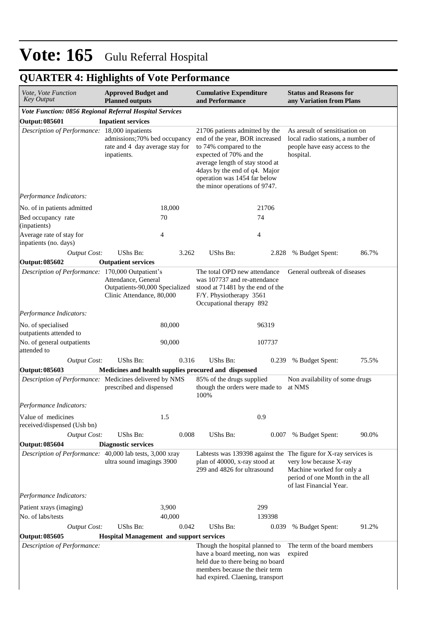## **QUARTER 4: Highlights of Vote Performance**

| Vote, Vote Function<br><b>Key Output</b>                | <b>Approved Budget and</b><br><b>Planned outputs</b>                               |        | <b>Cumulative Expenditure</b><br>and Performance                                                                                                                                                                                                           |        | <b>Status and Reasons for</b><br>any Variation from Plans                                                                                                                            |       |  |  |
|---------------------------------------------------------|------------------------------------------------------------------------------------|--------|------------------------------------------------------------------------------------------------------------------------------------------------------------------------------------------------------------------------------------------------------------|--------|--------------------------------------------------------------------------------------------------------------------------------------------------------------------------------------|-------|--|--|
| Vote Function: 0856 Regional Referral Hospital Services |                                                                                    |        |                                                                                                                                                                                                                                                            |        |                                                                                                                                                                                      |       |  |  |
| <b>Inpatient services</b><br><b>Output: 085601</b>      |                                                                                    |        |                                                                                                                                                                                                                                                            |        |                                                                                                                                                                                      |       |  |  |
| Description of Performance: 18,000 inpatients           | admissions;70% bed occupancy<br>rate and 4 day average stay for<br>inpatients.     |        | 21706 patients admitted by the<br>end of the year, BOR increased<br>to 74% compared to the<br>expected of 70% and the<br>average length of stay stood at<br>4days by the end of q4. Major<br>operation was 1454 far below<br>the minor operations of 9747. |        | As are sult of sensitisation on<br>local radio stations, a number of<br>people have easy access to the<br>hospital.                                                                  |       |  |  |
| Performance Indicators:                                 |                                                                                    |        |                                                                                                                                                                                                                                                            |        |                                                                                                                                                                                      |       |  |  |
| No. of in patients admitted                             |                                                                                    | 18,000 |                                                                                                                                                                                                                                                            | 21706  |                                                                                                                                                                                      |       |  |  |
| Bed occupancy rate                                      |                                                                                    | 70     |                                                                                                                                                                                                                                                            | 74     |                                                                                                                                                                                      |       |  |  |
| (inpatients)                                            |                                                                                    |        |                                                                                                                                                                                                                                                            |        |                                                                                                                                                                                      |       |  |  |
| Average rate of stay for                                |                                                                                    | 4      |                                                                                                                                                                                                                                                            | 4      |                                                                                                                                                                                      |       |  |  |
| inpatients (no. days)<br><b>Output Cost:</b>            | UShs Bn:                                                                           | 3.262  | UShs Bn:                                                                                                                                                                                                                                                   | 2.828  | % Budget Spent:                                                                                                                                                                      | 86.7% |  |  |
| <b>Output: 085602</b>                                   | <b>Outpatient services</b>                                                         |        |                                                                                                                                                                                                                                                            |        |                                                                                                                                                                                      |       |  |  |
| Description of Performance: 170,000 Outpatient's        |                                                                                    |        | The total OPD new attendance                                                                                                                                                                                                                               |        | General outbreak of diseases                                                                                                                                                         |       |  |  |
|                                                         | Attendance, General<br>Outpatients-90,000 Specialized<br>Clinic Attendance, 80,000 |        | was 107737 and re-attendance<br>stood at 71481 by the end of the<br>F/Y. Physiotherapy 3561<br>Occupational therapy 892                                                                                                                                    |        |                                                                                                                                                                                      |       |  |  |
| Performance Indicators:                                 |                                                                                    |        |                                                                                                                                                                                                                                                            |        |                                                                                                                                                                                      |       |  |  |
| No. of specialised<br>outpatients attended to           |                                                                                    | 80,000 |                                                                                                                                                                                                                                                            | 96319  |                                                                                                                                                                                      |       |  |  |
| No. of general outpatients<br>attended to               |                                                                                    | 90,000 |                                                                                                                                                                                                                                                            | 107737 |                                                                                                                                                                                      |       |  |  |
| <b>Output Cost:</b>                                     | UShs Bn:                                                                           | 0.316  | UShs Bn:                                                                                                                                                                                                                                                   | 0.239  | % Budget Spent:                                                                                                                                                                      | 75.5% |  |  |
| <b>Output: 085603</b>                                   |                                                                                    |        | Medicines and health supplies procured and dispensed                                                                                                                                                                                                       |        |                                                                                                                                                                                      |       |  |  |
| Description of Performance: Medicines delivered by NMS  | prescribed and dispensed                                                           |        | 85% of the drugs supplied<br>though the orders were made to<br>100%                                                                                                                                                                                        |        | Non availability of some drugs<br>at NMS                                                                                                                                             |       |  |  |
| Performance Indicators:                                 |                                                                                    |        |                                                                                                                                                                                                                                                            |        |                                                                                                                                                                                      |       |  |  |
| Value of medicines                                      |                                                                                    | 1.5    |                                                                                                                                                                                                                                                            | 0.9    |                                                                                                                                                                                      |       |  |  |
| received/dispensed (Ush bn)                             |                                                                                    |        |                                                                                                                                                                                                                                                            |        |                                                                                                                                                                                      |       |  |  |
| <b>Output Cost:</b>                                     | UShs Bn:                                                                           | 0.008  | UShs Bn:                                                                                                                                                                                                                                                   | 0.007  | % Budget Spent:                                                                                                                                                                      | 90.0% |  |  |
| <b>Output: 085604</b>                                   | <b>Diagnostic services</b>                                                         |        |                                                                                                                                                                                                                                                            |        |                                                                                                                                                                                      |       |  |  |
| Description of Performance:                             | 40,000 lab tests, 3,000 xray<br>ultra sound imagings 3900                          |        | plan of 40000, x-ray stood at<br>299 and 4826 for ultrasound                                                                                                                                                                                               |        | Labtests was 139398 against the The figure for X-ray services is<br>very low because X-ray<br>Machine worked for only a<br>period of one Month in the all<br>of last Financial Year. |       |  |  |
| Performance Indicators:                                 |                                                                                    |        |                                                                                                                                                                                                                                                            |        |                                                                                                                                                                                      |       |  |  |
| Patient xrays (imaging)                                 |                                                                                    | 3,900  |                                                                                                                                                                                                                                                            | 299    |                                                                                                                                                                                      |       |  |  |
| No. of labs/tests                                       |                                                                                    | 40,000 |                                                                                                                                                                                                                                                            | 139398 |                                                                                                                                                                                      |       |  |  |
| <b>Output Cost:</b>                                     | UShs Bn:                                                                           | 0.042  | UShs Bn:                                                                                                                                                                                                                                                   | 0.039  | % Budget Spent:                                                                                                                                                                      | 91.2% |  |  |
| <b>Output: 085605</b>                                   | <b>Hospital Management and support services</b>                                    |        |                                                                                                                                                                                                                                                            |        |                                                                                                                                                                                      |       |  |  |
| Description of Performance:                             |                                                                                    |        | Though the hospital planned to<br>have a board meeting, non was<br>held due to there being no board<br>members because the their term<br>had expired. Claening, transport                                                                                  |        | The term of the board members<br>expired                                                                                                                                             |       |  |  |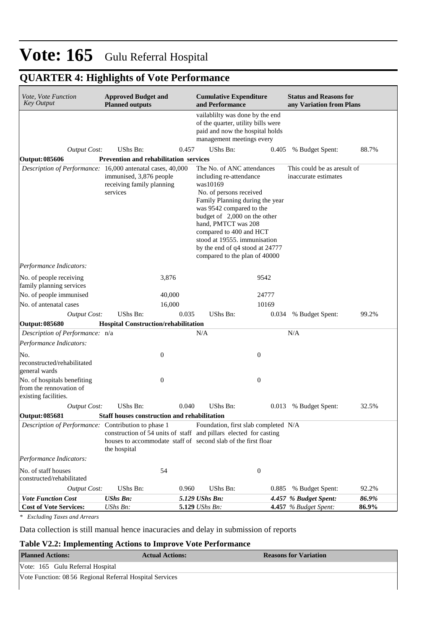## **QUARTER 4: Highlights of Vote Performance**

| Vote, Vote Function<br><b>Key Output</b>                                       | <b>Approved Budget and</b><br><b>Planned outputs</b>                                                                                               |       | <b>Cumulative Expenditure</b><br>and Performance                                                                                                                                                                                                                                                                                                  |                  | <b>Status and Reasons for</b><br>any Variation from Plans |       |  |
|--------------------------------------------------------------------------------|----------------------------------------------------------------------------------------------------------------------------------------------------|-------|---------------------------------------------------------------------------------------------------------------------------------------------------------------------------------------------------------------------------------------------------------------------------------------------------------------------------------------------------|------------------|-----------------------------------------------------------|-------|--|
|                                                                                |                                                                                                                                                    |       | vailablilty was done by the end<br>of the quarter, utility bills were<br>paid and now the hospital holds<br>management meetings every                                                                                                                                                                                                             |                  |                                                           |       |  |
| <b>Output Cost:</b>                                                            | UShs Bn:                                                                                                                                           | 0.457 | UShs Bn:                                                                                                                                                                                                                                                                                                                                          | 0.405            | % Budget Spent:                                           | 88.7% |  |
| <b>Output: 085606</b>                                                          | <b>Prevention and rehabilitation services</b>                                                                                                      |       |                                                                                                                                                                                                                                                                                                                                                   |                  |                                                           |       |  |
| Description of Performance: 16,000 antenatal cases, 40,000                     | immunised, 3,876 people<br>receiving family planning<br>services                                                                                   |       | The No. of ANC attendances<br>including re-attendance<br>was10169<br>No. of persons received<br>Family Planning during the year<br>was 9542 compared to the<br>budget of 2,000 on the other<br>hand, PMTCT was 208<br>compared to 400 and HCT<br>stood at 19555. immunisation<br>by the end of q4 stood at 24777<br>compared to the plan of 40000 |                  | This could be as are sult of<br>inaccurate estimates      |       |  |
| Performance Indicators:                                                        |                                                                                                                                                    |       |                                                                                                                                                                                                                                                                                                                                                   |                  |                                                           |       |  |
| No. of people receiving<br>family planning services                            | 3,876                                                                                                                                              |       |                                                                                                                                                                                                                                                                                                                                                   | 9542             |                                                           |       |  |
| No. of people immunised                                                        | 40,000                                                                                                                                             |       |                                                                                                                                                                                                                                                                                                                                                   | 24777            |                                                           |       |  |
| No. of antenatal cases                                                         | 16,000                                                                                                                                             |       |                                                                                                                                                                                                                                                                                                                                                   | 10169            |                                                           |       |  |
| <b>Output Cost:</b>                                                            | UShs Bn:                                                                                                                                           | 0.035 | UShs Bn:                                                                                                                                                                                                                                                                                                                                          | 0.034            | % Budget Spent:                                           | 99.2% |  |
| Output: 085680                                                                 | <b>Hospital Construction/rehabilitation</b>                                                                                                        |       |                                                                                                                                                                                                                                                                                                                                                   |                  |                                                           |       |  |
| Description of Performance: n/a                                                |                                                                                                                                                    |       | N/A                                                                                                                                                                                                                                                                                                                                               |                  | N/A                                                       |       |  |
| Performance Indicators:                                                        |                                                                                                                                                    |       |                                                                                                                                                                                                                                                                                                                                                   |                  |                                                           |       |  |
| No.<br>reconstructed/rehabilitated<br>general wards                            | $\boldsymbol{0}$                                                                                                                                   |       |                                                                                                                                                                                                                                                                                                                                                   | $\boldsymbol{0}$ |                                                           |       |  |
| No. of hospitals benefiting<br>from the rennovation of<br>existing facilities. | $\boldsymbol{0}$                                                                                                                                   |       |                                                                                                                                                                                                                                                                                                                                                   | $\boldsymbol{0}$ |                                                           |       |  |
| <b>Output Cost:</b>                                                            | UShs Bn:                                                                                                                                           | 0.040 | UShs Bn:                                                                                                                                                                                                                                                                                                                                          | 0.013            | % Budget Spent:                                           | 32.5% |  |
| Output: 085681                                                                 | <b>Staff houses construction and rehabilitation</b>                                                                                                |       |                                                                                                                                                                                                                                                                                                                                                   |                  |                                                           |       |  |
| Description of Performance: Contribution to phase 1                            | construction of 54 units of staff and pillars elected for casting<br>houses to accommodate staff of second slab of the first floar<br>the hospital |       | Foundation, first slab completed N/A                                                                                                                                                                                                                                                                                                              |                  |                                                           |       |  |
| Performance Indicators:                                                        |                                                                                                                                                    |       |                                                                                                                                                                                                                                                                                                                                                   |                  |                                                           |       |  |
| No. of staff houses<br>constructed/rehabilitated                               | 54                                                                                                                                                 |       |                                                                                                                                                                                                                                                                                                                                                   | $\boldsymbol{0}$ |                                                           |       |  |
| <b>Output Cost:</b>                                                            | UShs Bn:                                                                                                                                           | 0.960 | UShs Bn:                                                                                                                                                                                                                                                                                                                                          | 0.885            | % Budget Spent:                                           | 92.2% |  |
| <b>Vote Function Cost</b>                                                      | <b>UShs Bn:</b>                                                                                                                                    |       | 5.129 UShs Bn:                                                                                                                                                                                                                                                                                                                                    |                  | 4.457 % Budget Spent:                                     | 86.9% |  |
| <b>Cost of Vote Services:</b>                                                  | UShs Bn:                                                                                                                                           |       | 5.129 UShs Bn:                                                                                                                                                                                                                                                                                                                                    |                  | 4.457 % Budget Spent:                                     | 86.9% |  |

*\* Excluding Taxes and Arrears*

Data collection is still manual hence inacuracies and delay in submission of reports

#### **Table V2.2: Implementing Actions to Improve Vote Performance**

| <b>Planned Actions:</b>                                  | <b>Actual Actions:</b> | <b>Reasons for Variation</b> |  |  |  |  |  |
|----------------------------------------------------------|------------------------|------------------------------|--|--|--|--|--|
| Vote: 165 Gulu Referral Hospital                         |                        |                              |  |  |  |  |  |
| Vote Function: 08 56 Regional Referral Hospital Services |                        |                              |  |  |  |  |  |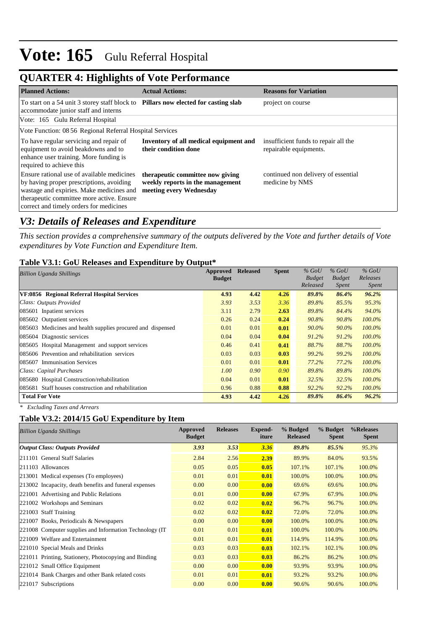## **QUARTER 4: Highlights of Vote Performance**

| <b>Planned Actions:</b>                                                                                                                                                                                                    | <b>Actual Actions:</b>                                                                          | <b>Reasons for Variation</b>                                   |  |  |  |  |  |  |  |
|----------------------------------------------------------------------------------------------------------------------------------------------------------------------------------------------------------------------------|-------------------------------------------------------------------------------------------------|----------------------------------------------------------------|--|--|--|--|--|--|--|
| To start on a 54 unit 3 storey staff block to Pillars now elected for casting slab<br>accommodate junior staff and interns                                                                                                 |                                                                                                 | project on course                                              |  |  |  |  |  |  |  |
| Vote: 165 Gulu Referral Hospital                                                                                                                                                                                           |                                                                                                 |                                                                |  |  |  |  |  |  |  |
| Vote Function: 08 56 Regional Referral Hospital Services                                                                                                                                                                   |                                                                                                 |                                                                |  |  |  |  |  |  |  |
| To have regular servicing and repair of<br>equipment to avoid beakdowns and to<br>enhance user training. More funding is<br>required to achieve this                                                                       | Inventory of all medical equipment and<br>their condition done                                  | insufficient funds to repair all the<br>repairable equipments. |  |  |  |  |  |  |  |
| Ensure rational use of available medicines<br>by having proper prescriptions, avoiding<br>wastage and expiries. Make medicines and<br>therapeutic committee more active. Ensure<br>correct and timely orders for medicines | therapeutic committee now giving<br>weekly reports in the management<br>meeting every Wednesday | continued non delivery of essential<br>medicine by NMS         |  |  |  |  |  |  |  |

## *V3: Details of Releases and Expenditure*

*This section provides a comprehensive summary of the outputs delivered by the Vote and further details of Vote expenditures by Vote Function and Expenditure Item.*

### **Table V3.1: GoU Releases and Expenditure by Output\***

| Approved<br><b>Billion Uganda Shillings</b>                 |               | <b>Released</b> | <b>Spent</b> | $%$ GoU       | $%$ GoU       | $%$ GoU      |
|-------------------------------------------------------------|---------------|-----------------|--------------|---------------|---------------|--------------|
|                                                             | <b>Budget</b> |                 |              | <b>Budget</b> | <b>Budget</b> | Releases     |
|                                                             |               |                 |              | Released      | Spent         | <i>Spent</i> |
| VF:0856 Regional Referral Hospital Services                 | 4.93          | 4.42            | 4.26         | 89.8%         | 86.4%         | $96.2\%$     |
| Class: Outputs Provided                                     | 3.93          | 3.53            | 3.36         | 89.8%         | 85.5%         | 95.3%        |
| 085601 Inpatient services                                   | 3.11          | 2.79            | 2.63         | 89.8%         | 84.4%         | 94.0%        |
| 085602 Outpatient services                                  | 0.26          | 0.24            | 0.24         | 90.8%         | 90.8%         | $100.0\%$    |
| 085603 Medicines and health supplies procured and dispensed | 0.01          | 0.01            | 0.01         | 90.0%         | $90.0\%$      | 100.0%       |
| 085604 Diagnostic services                                  | 0.04          | 0.04            | 0.04         | 91.2%         | 91.2%         | $100.0\%$    |
| 085605 Hospital Management and support services             | 0.46          | 0.41            | 0.41         | 88.7%         | 88.7%         | $100.0\%$    |
| 085606 Prevention and rehabilitation services               | 0.03          | 0.03            | 0.03         | 99.2%         | 99.2%         | $100.0\%$    |
| 085607 Immunisation Services                                | 0.01          | 0.01            | 0.01         | 77.2%         | 77.2%         | $100.0\%$    |
| Class: Capital Purchases                                    | 1.00          | 0.90            | 0.90         | 89.8%         | 89.8%         | $100.0\%$    |
| 085680 Hospital Construction/rehabilitation                 | 0.04          | 0.01            | 0.01         | 32.5%         | 32.5%         | $100.0\%$    |
| 085681 Staff houses construction and rehabilitation         | 0.96          | 0.88            | 0.88         | 92.2%         | 92.2%         | 100.0%       |
| <b>Total For Vote</b>                                       | 4.93          | 4.42            | 4.26         | 89.8%         | 86.4%         | 96.2%        |

*\* Excluding Taxes and Arrears*

### **Table V3.2: 2014/15 GoU Expenditure by Item**

| <b>Billion Uganda Shillings</b>                          | Approved<br><b>Budget</b> | <b>Releases</b> | Expend-<br>iture | % Budged<br><b>Released</b> | % Budget<br><b>Spent</b> | %Releases<br><b>Spent</b> |
|----------------------------------------------------------|---------------------------|-----------------|------------------|-----------------------------|--------------------------|---------------------------|
| <b>Output Class: Outputs Provided</b>                    | 3.93                      | 3.53            | 3.36             | 89.8%                       | 85.5%                    | 95.3%                     |
| 211101 General Staff Salaries                            | 2.84                      | 2.56            | 2.39             | 89.9%                       | 84.0%                    | 93.5%                     |
| 211103 Allowances                                        | 0.05                      | 0.05            | 0.05             | 107.1%                      | 107.1%                   | 100.0%                    |
| 213001 Medical expenses (To employees)                   | 0.01                      | 0.01            | 0.01             | 100.0%                      | 100.0%                   | 100.0%                    |
| 213002 Incapacity, death benefits and funeral expenses   | 0.00                      | 0.00            | 0.00             | 69.6%                       | 69.6%                    | 100.0%                    |
| 221001 Advertising and Public Relations                  | 0.01                      | 0.00            | 0.00             | 67.9%                       | 67.9%                    | 100.0%                    |
| 221002 Workshops and Seminars                            | 0.02                      | 0.02            | 0.02             | 96.7%                       | 96.7%                    | 100.0%                    |
| 221003 Staff Training                                    | 0.02                      | 0.02            | 0.02             | 72.0%                       | 72.0%                    | 100.0%                    |
| 221007 Books, Periodicals & Newspapers                   | 0.00                      | 0.00            | 0.00             | 100.0%                      | 100.0%                   | 100.0%                    |
| 221008 Computer supplies and Information Technology (IT) | 0.01                      | 0.01            | 0.01             | 100.0%                      | 100.0%                   | 100.0%                    |
| 221009 Welfare and Entertainment                         | 0.01                      | 0.01            | 0.01             | 114.9%                      | 114.9%                   | 100.0%                    |
| 221010 Special Meals and Drinks                          | 0.03                      | 0.03            | 0.03             | 102.1%                      | 102.1%                   | 100.0%                    |
| 221011 Printing, Stationery, Photocopying and Binding    | 0.03                      | 0.03            | 0.03             | 86.2%                       | 86.2%                    | 100.0%                    |
| 221012 Small Office Equipment                            | 0.00                      | 0.00            | 0.00             | 93.9%                       | 93.9%                    | 100.0%                    |
| 221014 Bank Charges and other Bank related costs         | 0.01                      | 0.01            | 0.01             | 93.2%                       | 93.2%                    | 100.0%                    |
| 221017 Subscriptions                                     | 0.00                      | 0.00            | 0.00             | 90.6%                       | 90.6%                    | 100.0%                    |